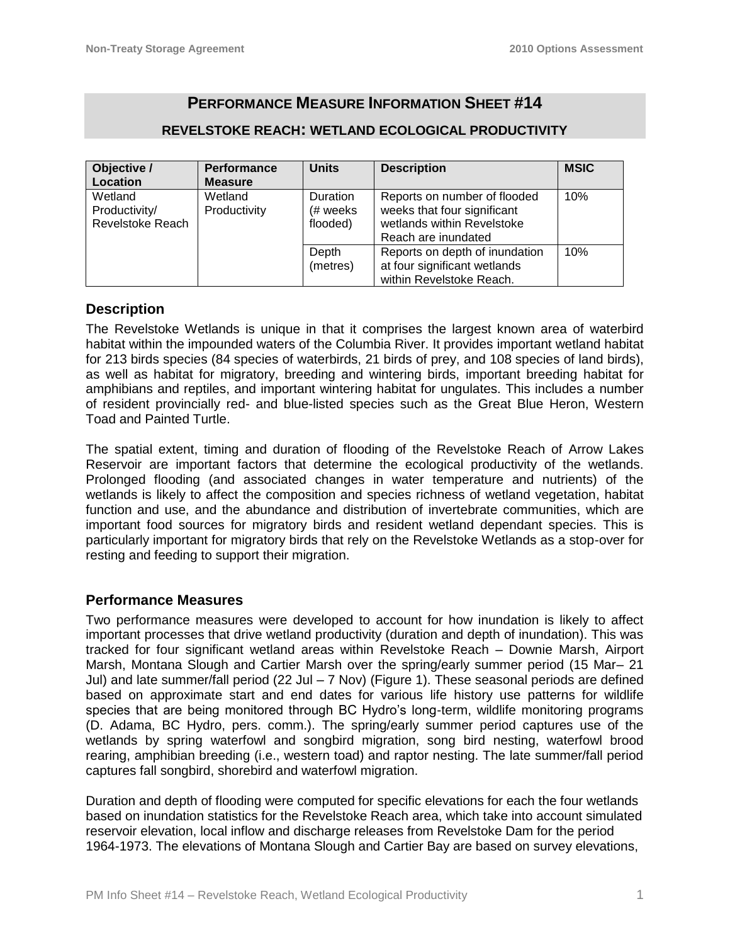# **PERFORMANCE MEASURE INFORMATION SHEET #14**

## **REVELSTOKE REACH: WETLAND ECOLOGICAL PRODUCTIVITY**

| Objective /                                  | <b>Performance</b>      | <b>Units</b>                            | <b>Description</b>                                                                        | <b>MSIC</b> |
|----------------------------------------------|-------------------------|-----------------------------------------|-------------------------------------------------------------------------------------------|-------------|
| Location                                     | <b>Measure</b>          |                                         |                                                                                           |             |
| Wetland<br>Productivity/<br>Revelstoke Reach | Wetland<br>Productivity | <b>Duration</b><br>(# weeks<br>flooded) | Reports on number of flooded<br>weeks that four significant<br>wetlands within Revelstoke | 10%         |
|                                              |                         | Depth                                   | Reach are inundated<br>Reports on depth of inundation                                     | 10%         |
|                                              |                         | (metres)                                | at four significant wetlands<br>within Revelstoke Reach.                                  |             |

### **Description**

The Revelstoke Wetlands is unique in that it comprises the largest known area of waterbird habitat within the impounded waters of the Columbia River. It provides important wetland habitat for 213 birds species (84 species of waterbirds, 21 birds of prey, and 108 species of land birds), as well as habitat for migratory, breeding and wintering birds, important breeding habitat for amphibians and reptiles, and important wintering habitat for ungulates. This includes a number of resident provincially red- and blue-listed species such as the Great Blue Heron, Western Toad and Painted Turtle.

The spatial extent, timing and duration of flooding of the Revelstoke Reach of Arrow Lakes Reservoir are important factors that determine the ecological productivity of the wetlands. Prolonged flooding (and associated changes in water temperature and nutrients) of the wetlands is likely to affect the composition and species richness of wetland vegetation, habitat function and use, and the abundance and distribution of invertebrate communities, which are important food sources for migratory birds and resident wetland dependant species. This is particularly important for migratory birds that rely on the Revelstoke Wetlands as a stop-over for resting and feeding to support their migration.

# **Performance Measures**

Two performance measures were developed to account for how inundation is likely to affect important processes that drive wetland productivity (duration and depth of inundation). This was tracked for four significant wetland areas within Revelstoke Reach – Downie Marsh, Airport Marsh, Montana Slough and Cartier Marsh over the spring/early summer period (15 Mar– 21 Jul) and late summer/fall period (22 Jul – 7 Nov) (Figure 1). These seasonal periods are defined based on approximate start and end dates for various life history use patterns for wildlife species that are being monitored through BC Hydro's long-term, wildlife monitoring programs (D. Adama, BC Hydro, pers. comm.). The spring/early summer period captures use of the wetlands by spring waterfowl and songbird migration, song bird nesting, waterfowl brood rearing, amphibian breeding (i.e., western toad) and raptor nesting. The late summer/fall period captures fall songbird, shorebird and waterfowl migration.

Duration and depth of flooding were computed for specific elevations for each the four wetlands based on inundation statistics for the Revelstoke Reach area, which take into account simulated reservoir elevation, local inflow and discharge releases from Revelstoke Dam for the period 1964-1973. The elevations of Montana Slough and Cartier Bay are based on survey elevations,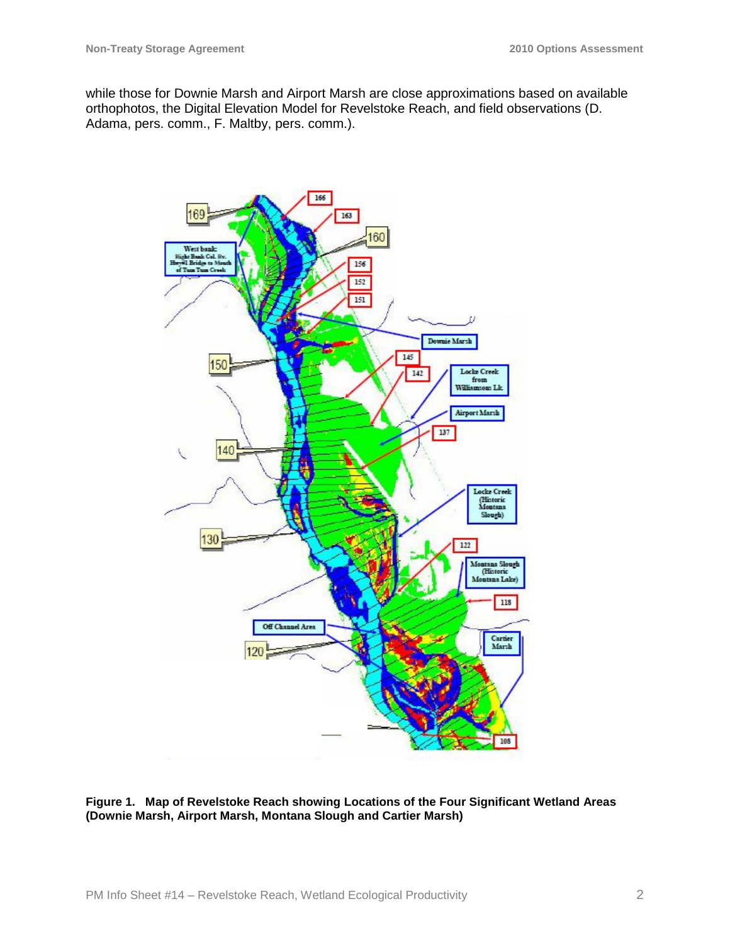while those for Downie Marsh and Airport Marsh are close approximations based on available orthophotos, the Digital Elevation Model for Revelstoke Reach, and field observations (D. Adama, pers. comm., F. Maltby, pers. comm.).



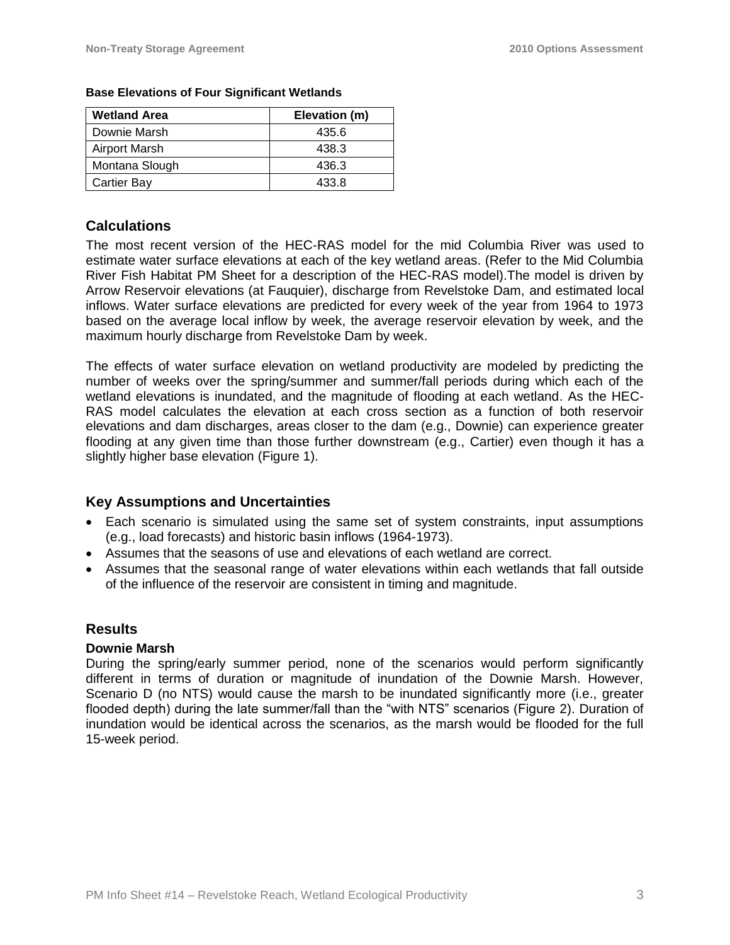| <b>Wetland Area</b> | Elevation (m) |  |
|---------------------|---------------|--|
| Downie Marsh        | 435.6         |  |
| Airport Marsh       | 438.3         |  |
| Montana Slough      | 436.3         |  |
| <b>Cartier Bay</b>  | 433.8         |  |

### **Base Elevations of Four Significant Wetlands**

# **Calculations**

The most recent version of the HEC-RAS model for the mid Columbia River was used to estimate water surface elevations at each of the key wetland areas. (Refer to the Mid Columbia River Fish Habitat PM Sheet for a description of the HEC-RAS model).The model is driven by Arrow Reservoir elevations (at Fauquier), discharge from Revelstoke Dam, and estimated local inflows. Water surface elevations are predicted for every week of the year from 1964 to 1973 based on the average local inflow by week, the average reservoir elevation by week, and the maximum hourly discharge from Revelstoke Dam by week.

The effects of water surface elevation on wetland productivity are modeled by predicting the number of weeks over the spring/summer and summer/fall periods during which each of the wetland elevations is inundated, and the magnitude of flooding at each wetland. As the HEC-RAS model calculates the elevation at each cross section as a function of both reservoir elevations and dam discharges, areas closer to the dam (e.g., Downie) can experience greater flooding at any given time than those further downstream (e.g., Cartier) even though it has a slightly higher base elevation (Figure 1).

# **Key Assumptions and Uncertainties**

- Each scenario is simulated using the same set of system constraints, input assumptions (e.g., load forecasts) and historic basin inflows (1964-1973).
- Assumes that the seasons of use and elevations of each wetland are correct.
- Assumes that the seasonal range of water elevations within each wetlands that fall outside of the influence of the reservoir are consistent in timing and magnitude.

# **Results**

### **Downie Marsh**

During the spring/early summer period, none of the scenarios would perform significantly different in terms of duration or magnitude of inundation of the Downie Marsh. However, Scenario D (no NTS) would cause the marsh to be inundated significantly more (i.e., greater flooded depth) during the late summer/fall than the "with NTS" scenarios (Figure 2). Duration of inundation would be identical across the scenarios, as the marsh would be flooded for the full 15-week period.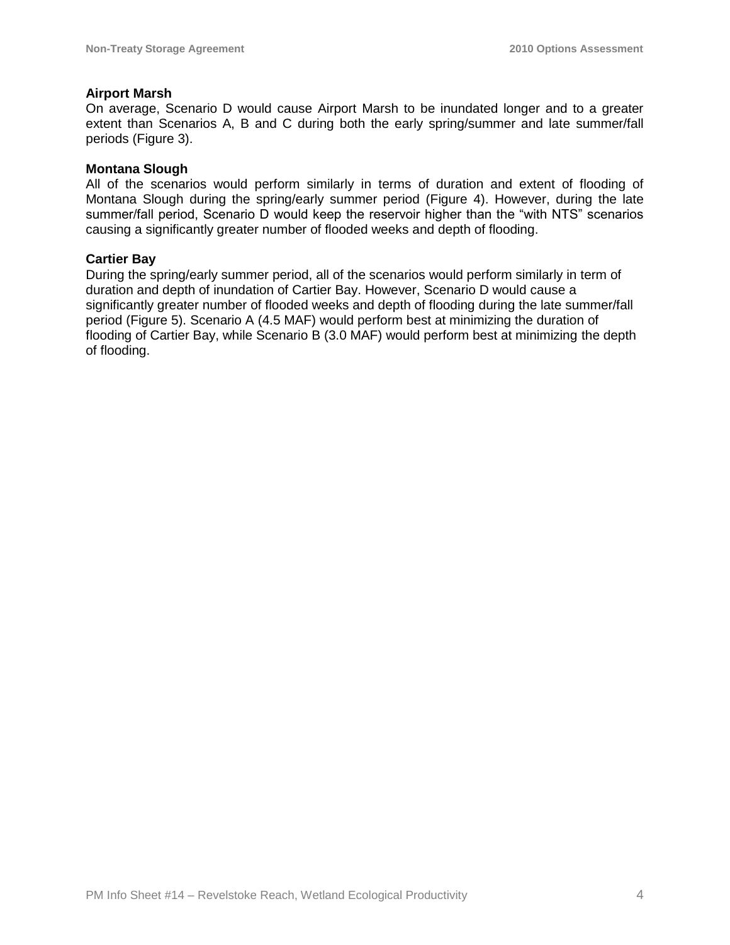### **Airport Marsh**

On average, Scenario D would cause Airport Marsh to be inundated longer and to a greater extent than Scenarios A, B and C during both the early spring/summer and late summer/fall periods (Figure 3).

### **Montana Slough**

All of the scenarios would perform similarly in terms of duration and extent of flooding of Montana Slough during the spring/early summer period (Figure 4). However, during the late summer/fall period, Scenario D would keep the reservoir higher than the "with NTS" scenarios causing a significantly greater number of flooded weeks and depth of flooding.

### **Cartier Bay**

During the spring/early summer period, all of the scenarios would perform similarly in term of duration and depth of inundation of Cartier Bay. However, Scenario D would cause a significantly greater number of flooded weeks and depth of flooding during the late summer/fall period (Figure 5). Scenario A (4.5 MAF) would perform best at minimizing the duration of flooding of Cartier Bay, while Scenario B (3.0 MAF) would perform best at minimizing the depth of flooding.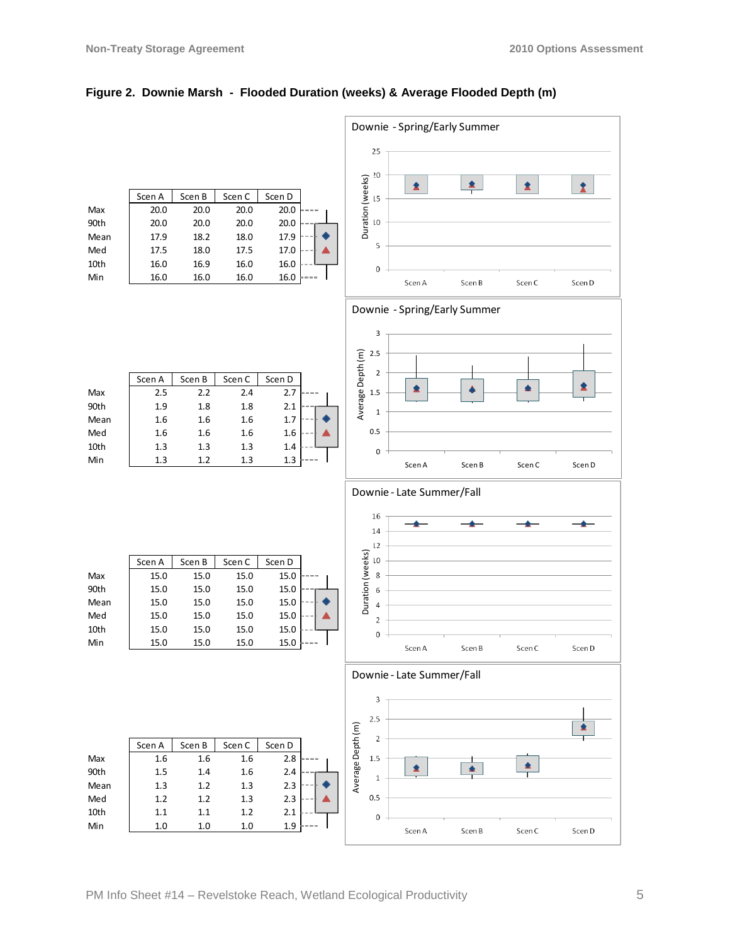

#### **Figure 2. Downie Marsh - Flooded Duration (weeks) & Average Flooded Depth (m)**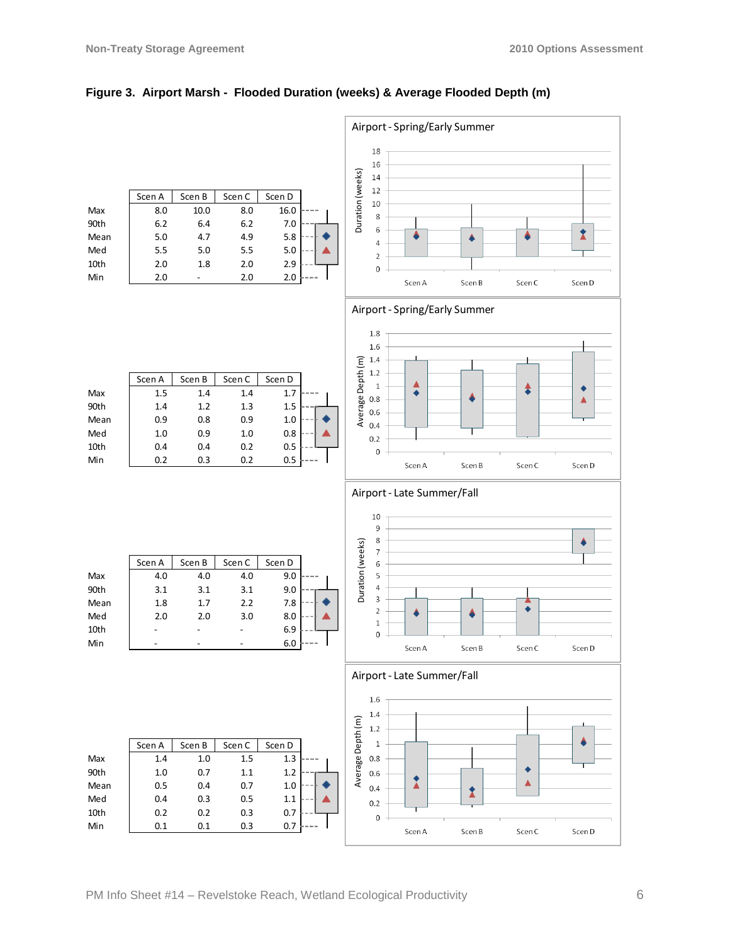

### **Figure 3. Airport Marsh - Flooded Duration (weeks) & Average Flooded Depth (m)**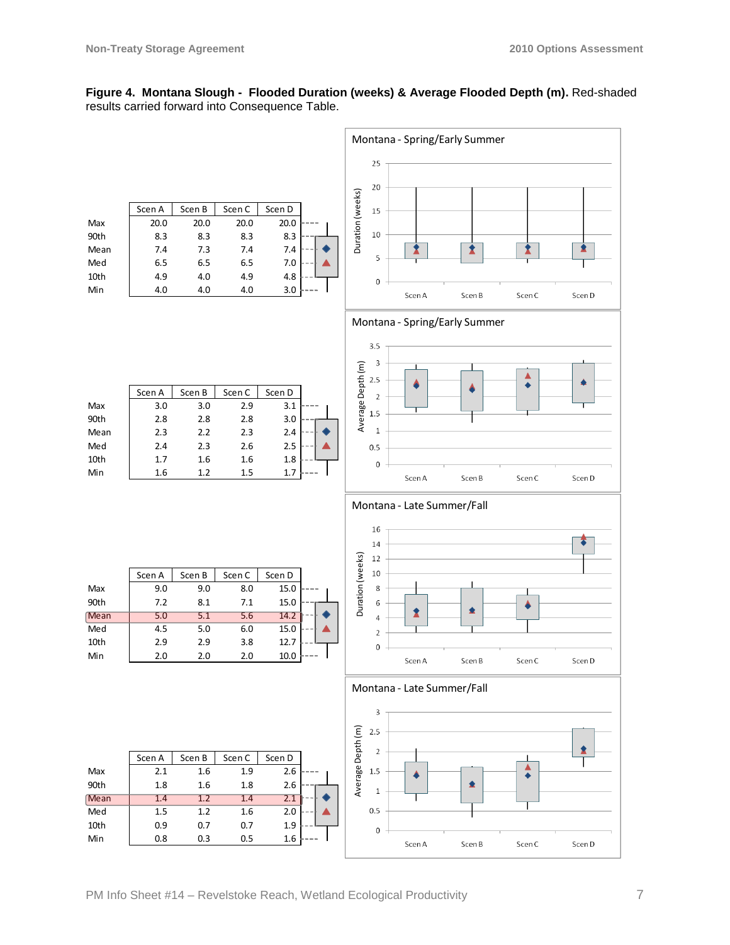### **Figure 4. Montana Slough - Flooded Duration (weeks) & Average Flooded Depth (m).** Red-shaded results carried forward into Consequence Table.